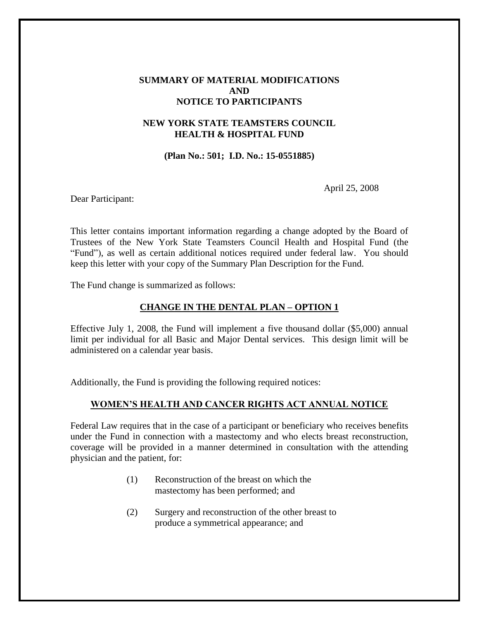### **SUMMARY OF MATERIAL MODIFICATIONS AND NOTICE TO PARTICIPANTS**

# **NEW YORK STATE TEAMSTERS COUNCIL HEALTH & HOSPITAL FUND**

**(Plan No.: 501; I.D. No.: 15-0551885)**

April 25, 2008

Dear Participant:

This letter contains important information regarding a change adopted by the Board of Trustees of the New York State Teamsters Council Health and Hospital Fund (the "Fund"), as well as certain additional notices required under federal law. You should keep this letter with your copy of the Summary Plan Description for the Fund.

The Fund change is summarized as follows:

## **CHANGE IN THE DENTAL PLAN – OPTION 1**

Effective July 1, 2008, the Fund will implement a five thousand dollar (\$5,000) annual limit per individual for all Basic and Major Dental services. This design limit will be administered on a calendar year basis.

Additionally, the Fund is providing the following required notices:

### **WOMEN'S HEALTH AND CANCER RIGHTS ACT ANNUAL NOTICE**

Federal Law requires that in the case of a participant or beneficiary who receives benefits under the Fund in connection with a mastectomy and who elects breast reconstruction, coverage will be provided in a manner determined in consultation with the attending physician and the patient, for:

- (1) Reconstruction of the breast on which the mastectomy has been performed; and
- (2) Surgery and reconstruction of the other breast to produce a symmetrical appearance; and